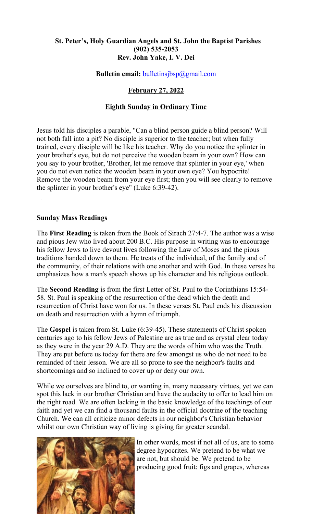# **St. Peter's, Holy Guardian Angels and St. John the Baptist Parishes (902) 535-2053 Rev. John Yake, I. V. Dei**

**Bulletin email:** [bulletinsjbsp@gmail.com](mailto:bulletinsjbsp@gmail.com)

# **February 27, 2022**

## **Eighth Sunday in Ordinary Time**

Jesus told his disciples a parable, "Can a blind person guide a blind person? Will not both fall into a pit? No disciple is superior to the teacher; but when fully trained, every disciple will be like his teacher. Why do you notice the splinter in your brother's eye, but do not perceive the wooden beam in your own? How can you say to your brother, 'Brother, let me remove that splinter in your eye,' when you do not even notice the wooden beam in your own eye? You hypocrite! Remove the wooden beam from your eye first; then you will see clearly to remove the splinter in your brother's eye" (Luke 6:39-42).

## **Sunday Mass Readings**

The **First Reading** is taken from the Book of Sirach 27:4-7. The author was a wise and pious Jew who lived about 200 B.C. His purpose in writing was to encourage his fellow Jews to live devout lives following the Law of Moses and the pious traditions handed down to them. He treats of the individual, of the family and of the community, of their relations with one another and with God. In these verses he emphasizes how a man's speech shows up his character and his religious outlook.

The **Second Reading** is from the first Letter of St. Paul to the Corinthians 15:54- 58. St. Paul is speaking of the resurrection of the dead which the death and resurrection of Christ have won for us. In these verses St. Paul ends his discussion on death and resurrection with a hymn of triumph.

The **Gospel** is taken from St. Luke (6:39-45). These statements of Christ spoken centuries ago to his fellow Jews of Palestine are as true and as crystal clear today as they were in the year 29 A.D. They are the words of him who was the Truth. They are put before us today for there are few amongst us who do not need to be reminded of their lesson. We are all so prone to see the neighbor's faults and shortcomings and so inclined to cover up or deny our own.

While we ourselves are blind to, or wanting in, many necessary virtues, yet we can spot this lack in our brother Christian and have the audacity to offer to lead him on the right road. We are often lacking in the basic knowledge of the teachings of our faith and yet we can find a thousand faults in the official doctrine of the teaching Church. We can all criticize minor defects in our neighbor's Christian behavior whilst our own Christian way of living is giving far greater scandal.



In other words, most if not all of us, are to some degree hypocrites. We pretend to be what we are not, but should be. We pretend to be producing good fruit: figs and grapes, whereas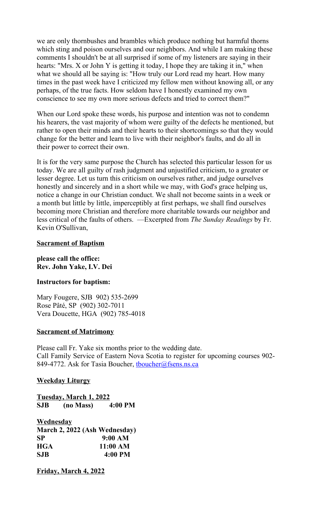we are only thornbushes and brambles which produce nothing but harmful thorns which sting and poison ourselves and our neighbors. And while I am making these comments I shouldn't be at all surprised if some of my listeners are saying in their hearts: "Mrs. X or John Y is getting it today, I hope they are taking it in," when what we should all be saying is: "How truly our Lord read my heart. How many times in the past week have I criticized my fellow men without knowing all, or any perhaps, of the true facts. How seldom have I honestly examined my own conscience to see my own more serious defects and tried to correct them?"

When our Lord spoke these words, his purpose and intention was not to condemn his hearers, the vast majority of whom were guilty of the defects he mentioned, but rather to open their minds and their hearts to their shortcomings so that they would change for the better and learn to live with their neighbor's faults, and do all in their power to correct their own.

It is for the very same purpose the Church has selected this particular lesson for us today. We are all guilty of rash judgment and unjustified criticism, to a greater or lesser degree. Let us turn this criticism on ourselves rather, and judge ourselves honestly and sincerely and in a short while we may, with God's grace helping us, notice a change in our Christian conduct. We shall not become saints in a week or a month but little by little, imperceptibly at first perhaps, we shall find ourselves becoming more Christian and therefore more charitable towards our neighbor and less critical of the faults of others. —Excerpted from *The Sunday Readings* by Fr. Kevin O'Sullivan,

## **Sacrament of Baptism**

**please call the office: Rev. John Yake, I.V. Dei**

## **Instructors for baptism:**

Mary Fougere, SJB 902) 535-2699 Rose Pâté, SP (902) 302-7011 Vera Doucette, HGA (902) 785-4018

## **Sacrament of Matrimony**

Please call Fr. Yake six months prior to the wedding date. Call Family Service of Eastern Nova Scotia to register for upcoming courses 902- 849-4772. Ask for Tasia Boucher, thoucher@fsens.ns.ca

## **Weekday Liturgy**

**Tuesday, March 1, 2022 SJB (no Mass) 4:00 PM**

**Wednesday March 2, 2022 (Ash Wednesday) SP 9:00 AM HGA 11:00 AM SJB 4:00 PM**

**Friday, March 4, 2022**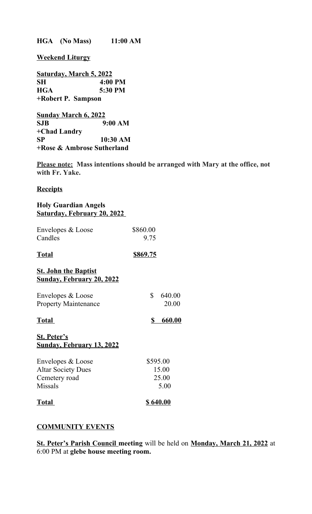**HGA (No Mass) 11:00 AM**

**Weekend Liturgy**

**Saturday, March 5, 2022 SH 4:00 PM HGA 5:30 PM +Robert P. Sampson** 

**Sunday March 6, 2022 SJB 9:00 AM +Chad Landry SP 10:30 AM +Rose & Ambrose Sutherland**

**Please note: Mass intentions should be arranged with Mary at the office, not with Fr. Yake.**

## **Receipts**

## **Holy Guardian Angels Saturday, February 20, 2022**

| Envelopes & Loose<br>Candles | \$860.00<br>9.75 |
|------------------------------|------------------|
| <b>Total</b>                 | \$869.75         |
| <b>St. John the Baptist</b>  |                  |

# **Sunday, February 20, 2022**

| Envelopes & Loose           | 640.00 |
|-----------------------------|--------|
| <b>Property Maintenance</b> | 20.00  |
|                             |        |

| Total | 660.00 |
|-------|--------|
|       |        |

# **St. Peter's Sunday, February 13, 2022**

| \$640.00 |
|----------|
| 5.00     |
| 25.00    |
| 15.00    |
| \$595.00 |
|          |

# **COMMUNITY EVENTS**

**St. Peter's Parish Council meeting** will be held on **Monday, March 21, 2022** at 6:00 PM at **glebe house meeting room.**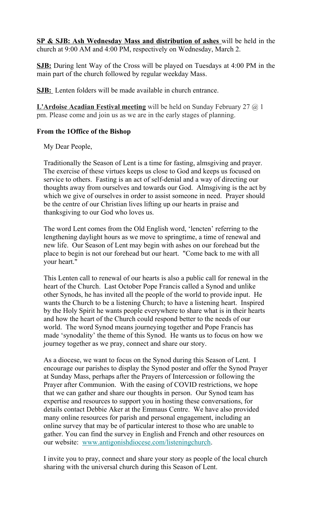**SP & SJB: Ash Wednesday Mass and distribution of ashes** will be held in the church at 9:00 AM and 4:00 PM, respectively on Wednesday, March 2.

**SJB:** During lent Way of the Cross will be played on Tuesdays at 4:00 PM in the main part of the church followed by regular weekday Mass.

**SJB:** Lenten folders will be made available in church entrance.

**L'Ardoise Acadian Festival meeting** will be held on Sunday February 27 @ 1 pm. Please come and join us as we are in the early stages of planning.

# **From the 1Office of the Bishop**

My Dear People,

Traditionally the Season of Lent is a time for fasting, almsgiving and prayer. The exercise of these virtues keeps us close to God and keeps us focused on service to others. Fasting is an act of self-denial and a way of directing our thoughts away from ourselves and towards our God. Almsgiving is the act by which we give of ourselves in order to assist someone in need. Prayer should be the centre of our Christian lives lifting up our hearts in praise and thanksgiving to our God who loves us.

The word Lent comes from the Old English word, 'lencten' referring to the lengthening daylight hours as we move to springtime, a time of renewal and new life. Our Season of Lent may begin with ashes on our forehead but the place to begin is not our forehead but our heart. "Come back to me with all your heart."

This Lenten call to renewal of our hearts is also a public call for renewal in the heart of the Church. Last October Pope Francis called a Synod and unlike other Synods, he has invited all the people of the world to provide input. He wants the Church to be a listening Church; to have a listening heart. Inspired by the Holy Spirit he wants people everywhere to share what is in their hearts and how the heart of the Church could respond better to the needs of our world. The word Synod means journeying together and Pope Francis has made 'synodality' the theme of this Synod. He wants us to focus on how we journey together as we pray, connect and share our story.

As a diocese, we want to focus on the Synod during this Season of Lent. I encourage our parishes to display the Synod poster and offer the Synod Prayer at Sunday Mass, perhaps after the Prayers of Intercession or following the Prayer after Communion. With the easing of COVID restrictions, we hope that we can gather and share our thoughts in person. Our Synod team has expertise and resources to support you in hosting these conversations, for details contact Debbie Aker at the Emmaus Centre. We have also provided many online resources for parish and personal engagement, including an online survey that may be of particular interest to those who are unable to gather. You can find the survey in English and French and other resources on our website: [www.antigonishdiocese.com/listeningchurch.](https://antigonishdiocese.us11.list-manage.com/track/click?u=46108c95b96680ff598b4aa1d&id=cab347c512&e=60939d450d)

I invite you to pray, connect and share your story as people of the local church sharing with the universal church during this Season of Lent.